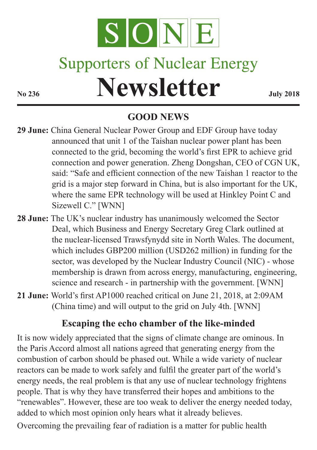

# **Supporters of Nuclear Energy**

# **No 236 Newsletter July 2018**

## **GOOD NEWS**

- **29 June:** China General Nuclear Power Group and EDF Group have today announced that unit 1 of the Taishan nuclear power plant has been connected to the grid, becoming the world's first EPR to achieve grid connection and power generation. Zheng Dongshan, CEO of CGN UK, said: "Safe and efficient connection of the new Taishan 1 reactor to the grid is a major step forward in China, but is also important for the UK, where the same EPR technology will be used at Hinkley Point C and Sizewell C." [WNN]
- **28 June:** The UK's nuclear industry has unanimously welcomed the Sector Deal, which Business and Energy Secretary Greg Clark outlined at the nuclear-licensed Trawsfynydd site in North Wales. The document, which includes GBP200 million (USD262 million) in funding for the sector, was developed by the Nuclear Industry Council (NIC) - whose membership is drawn from across energy, manufacturing, engineering, science and research - in partnership with the government. [WNN]
- **21 June:** World's first AP1000 reached critical on June 21, 2018, at 2:09AM (China time) and will output to the grid on July 4th. [WNN]

### **Escaping the echo chamber of the like-minded**

It is now widely appreciated that the signs of climate change are ominous. In the Paris Accord almost all nations agreed that generating energy from the combustion of carbon should be phased out. While a wide variety of nuclear reactors can be made to work safely and fulfil the greater part of the world's energy needs, the real problem is that any use of nuclear technology frightens people. That is why they have transferred their hopes and ambitions to the "renewables". However, these are too weak to deliver the energy needed today, added to which most opinion only hears what it already believes.

Overcoming the prevailing fear of radiation is a matter for public health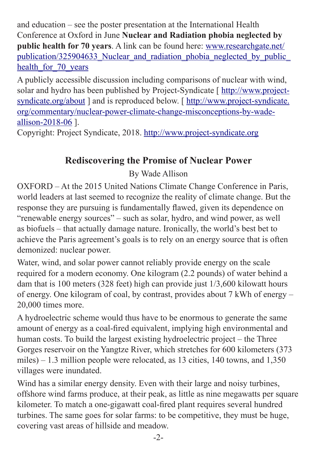and education – see the poster presentation at the International Health Conference at Oxford in June **Nuclear and Radiation phobia neglected by public health for 70 years**. A link can be found here: [www.researchgate.net/](www.researchgate.net/publication/325904633_Nuclear_and_radiation_phobia_neglected_by_public_health_for_70_years) [publication/325904633\\_Nuclear\\_and\\_radiation\\_phobia\\_neglected\\_by\\_public\\_](www.researchgate.net/publication/325904633_Nuclear_and_radiation_phobia_neglected_by_public_health_for_70_years) health for 70 years

A publicly accessible discussion including comparisons of nuclear with wind, solar and hydro has been published by Project-Syndicate [ [http://www.project](http://www.project-syndicate.org/about)[syndicate.org/about](http://www.project-syndicate.org/about) ] and is reproduced below. [ [http://www.project-syndicate.](http://www.project-syndicate.org/commentary/nuclear-power-climate-change-misconceptions-by-wade-allison-2018-06) [org/commentary/nuclear-power-climate-change-misconceptions-by-wade](http://www.project-syndicate.org/commentary/nuclear-power-climate-change-misconceptions-by-wade-allison-2018-06)[allison-2018-06](http://www.project-syndicate.org/commentary/nuclear-power-climate-change-misconceptions-by-wade-allison-2018-06) ].

Copyright: Project Syndicate, 2018. <http://www.project-syndicate.org>

#### **Rediscovering the Promise of Nuclear Power**

By Wade Allison

OXFORD – At the 2015 United Nations Climate Change Conference in Paris, world leaders at last seemed to recognize the reality of climate change. But the response they are pursuing is fundamentally flawed, given its dependence on "renewable energy sources" – such as solar, hydro, and wind power, as well as biofuels – that actually damage nature. Ironically, the world's best bet to achieve the Paris agreement's goals is to rely on an energy source that is often demonized: nuclear power.

Water, wind, and solar power cannot reliably provide energy on the scale required for a modern economy. One kilogram (2.2 pounds) of water behind a dam that is 100 meters (328 feet) high can provide just 1/3,600 kilowatt hours of energy. One kilogram of coal, by contrast, provides about 7 kWh of energy – 20,000 times more.

A hydroelectric scheme would thus have to be enormous to generate the same amount of energy as a coal-fired equivalent, implying high environmental and human costs. To build the largest existing hydroelectric project – the Three Gorges reservoir on the Yangtze River, which stretches for 600 kilometers (373 miles) – 1.3 million people were relocated, as 13 cities, 140 towns, and 1,350 villages were inundated.

Wind has a similar energy density. Even with their large and noisy turbines, offshore wind farms produce, at their peak, as little as nine megawatts per square kilometer. To match a one-gigawatt coal-fired plant requires several hundred turbines. The same goes for solar farms: to be competitive, they must be huge, covering vast areas of hillside and meadow.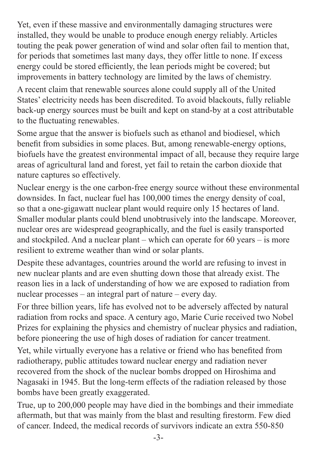Yet, even if these massive and environmentally damaging structures were installed, they would be unable to produce enough energy reliably. Articles touting the peak power generation of wind and solar often fail to mention that, for periods that sometimes last many days, they offer little to none. If excess energy could be stored efficiently, the lean periods might be covered; but improvements in battery technology are limited by the laws of chemistry.

A recent claim that renewable sources alone could supply all of the United States' electricity needs has been discredited. To avoid blackouts, fully reliable back-up energy sources must be built and kept on stand-by at a cost attributable to the fluctuating renewables.

Some argue that the answer is biofuels such as ethanol and biodiesel, which benefit from subsidies in some places. But, among renewable-energy options, biofuels have the greatest environmental impact of all, because they require large areas of agricultural land and forest, yet fail to retain the carbon dioxide that nature captures so effectively.

Nuclear energy is the one carbon-free energy source without these environmental downsides. In fact, nuclear fuel has 100,000 times the energy density of coal, so that a one-gigawatt nuclear plant would require only 15 hectares of land. Smaller modular plants could blend unobtrusively into the landscape. Moreover, nuclear ores are widespread geographically, and the fuel is easily transported and stockpiled. And a nuclear plant – which can operate for 60 years – is more resilient to extreme weather than wind or solar plants.

Despite these advantages, countries around the world are refusing to invest in new nuclear plants and are even shutting down those that already exist. The reason lies in a lack of understanding of how we are exposed to radiation from nuclear processes – an integral part of nature – every day.

For three billion years, life has evolved not to be adversely affected by natural radiation from rocks and space. A century ago, Marie Curie received two Nobel Prizes for explaining the physics and chemistry of nuclear physics and radiation, before pioneering the use of high doses of radiation for cancer treatment.

Yet, while virtually everyone has a relative or friend who has benefited from radiotherapy, public attitudes toward nuclear energy and radiation never recovered from the shock of the nuclear bombs dropped on Hiroshima and Nagasaki in 1945. But the long-term effects of the radiation released by those bombs have been greatly exaggerated.

True, up to 200,000 people may have died in the bombings and their immediate aftermath, but that was mainly from the blast and resulting firestorm. Few died of cancer. Indeed, the medical records of survivors indicate an extra 550-850